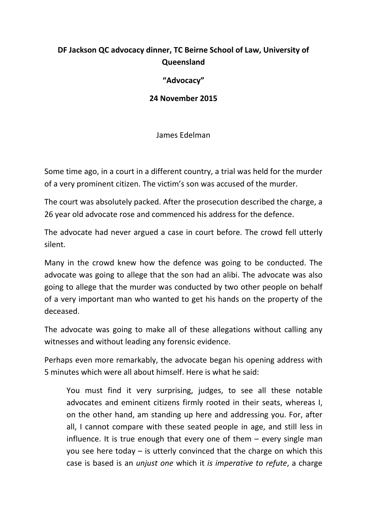## **DF Jackson QC advocacy dinner, TC Beirne School of Law, University of Queensland**

## **"Advocacy"**

## **24 November 2015**

James Edelman

Some time ago, in a court in a different country, a trial was held for the murder of a very prominent citizen. The victim's son was accused of the murder.

The court was absolutely packed. After the prosecution described the charge, a 26 year old advocate rose and commenced his address for the defence.

The advocate had never argued a case in court before. The crowd fell utterly silent.

Many in the crowd knew how the defence was going to be conducted. The advocate was going to allege that the son had an alibi. The advocate was also going to allege that the murder was conducted by two other people on behalf of a very important man who wanted to get his hands on the property of the deceased.

The advocate was going to make all of these allegations without calling any witnesses and without leading any forensic evidence.

Perhaps even more remarkably, the advocate began his opening address with 5 minutes which were all about himself. Here is what he said:

You must find it very surprising, judges, to see all these notable advocates and eminent citizens firmly rooted in their seats, whereas I, on the other hand, am standing up here and addressing you. For, after all, I cannot compare with these seated people in age, and still less in influence. It is true enough that every one of them – every single man you see here today – is utterly convinced that the charge on which this case is based is an *unjust one* which it *is imperative to refute*, a charge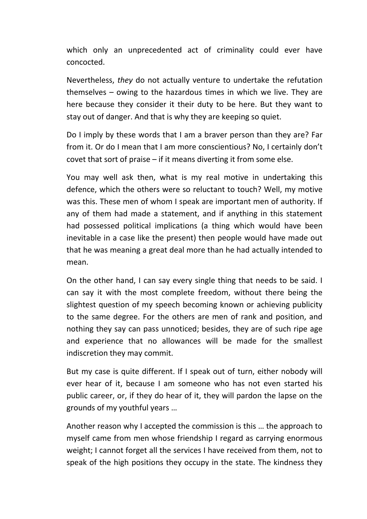which only an unprecedented act of criminality could ever have concocted.

Nevertheless, *they* do not actually venture to undertake the refutation themselves – owing to the hazardous times in which we live. They are here because they consider it their duty to be here. But they want to stay out of danger. And that is why they are keeping so quiet.

Do I imply by these words that I am a braver person than they are? Far from it. Or do I mean that I am more conscientious? No, I certainly don't covet that sort of praise – if it means diverting it from some else.

You may well ask then, what is my real motive in undertaking this defence, which the others were so reluctant to touch? Well, my motive was this. These men of whom I speak are important men of authority. If any of them had made a statement, and if anything in this statement had possessed political implications (a thing which would have been inevitable in a case like the present) then people would have made out that he was meaning a great deal more than he had actually intended to mean.

On the other hand, I can say every single thing that needs to be said. I can say it with the most complete freedom, without there being the slightest question of my speech becoming known or achieving publicity to the same degree. For the others are men of rank and position, and nothing they say can pass unnoticed; besides, they are of such ripe age and experience that no allowances will be made for the smallest indiscretion they may commit.

But my case is quite different. If I speak out of turn, either nobody will ever hear of it, because I am someone who has not even started his public career, or, if they do hear of it, they will pardon the lapse on the grounds of my youthful years …

Another reason why I accepted the commission is this … the approach to myself came from men whose friendship I regard as carrying enormous weight; I cannot forget all the services I have received from them, not to speak of the high positions they occupy in the state. The kindness they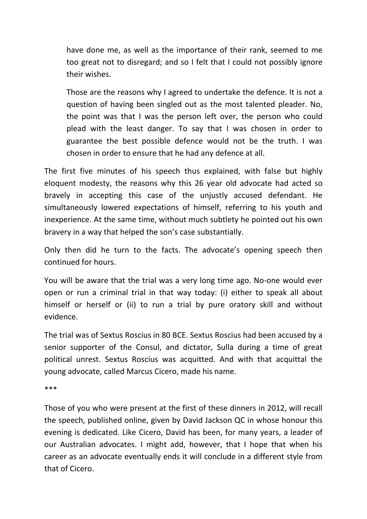have done me, as well as the importance of their rank, seemed to me too great not to disregard; and so I felt that I could not possibly ignore their wishes.

Those are the reasons why I agreed to undertake the defence. It is not a question of having been singled out as the most talented pleader. No, the point was that I was the person left over, the person who could plead with the least danger. To say that I was chosen in order to guarantee the best possible defence would not be the truth. I was chosen in order to ensure that he had any defence at all.

The first five minutes of his speech thus explained, with false but highly eloquent modesty, the reasons why this 26 year old advocate had acted so bravely in accepting this case of the unjustly accused defendant. He simultaneously lowered expectations of himself, referring to his youth and inexperience. At the same time, without much subtlety he pointed out his own bravery in a way that helped the son's case substantially.

Only then did he turn to the facts. The advocate's opening speech then continued for hours.

You will be aware that the trial was a very long time ago. No-one would ever open or run a criminal trial in that way today: (i) either to speak all about himself or herself or (ii) to run a trial by pure oratory skill and without evidence.

The trial was of Sextus Roscius in 80 BCE. Sextus Roscius had been accused by a senior supporter of the Consul, and dictator, Sulla during a time of great political unrest. Sextus Roscius was acquitted. And with that acquittal the young advocate, called Marcus Cicero, made his name.

\*\*\*

Those of you who were present at the first of these dinners in 2012, will recall the speech, published online, given by David Jackson QC in whose honour this evening is dedicated. Like Cicero, David has been, for many years, a leader of our Australian advocates. I might add, however, that I hope that when his career as an advocate eventually ends it will conclude in a different style from that of Cicero.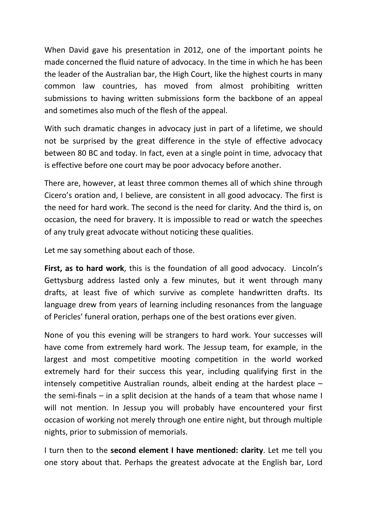When David gave his presentation in 2012, one of the important points he made concerned the fluid nature of advocacy. In the time in which he has been the leader of the Australian bar, the High Court, like the highest courts in many common law countries, has moved from almost prohibiting written submissions to having written submissions form the backbone of an appeal and sometimes also much of the flesh of the appeal.

With such dramatic changes in advocacy just in part of a lifetime, we should not be surprised by the great difference in the style of effective advocacy between 80 BC and today. In fact, even at a single point in time, advocacy that is effective before one court may be poor advocacy before another.

There are, however, at least three common themes all of which shine through Cicero's oration and, I believe, are consistent in all good advocacy. The first is the need for hard work. The second is the need for clarity. And the third is, on occasion, the need for bravery. It is impossible to read or watch the speeches of any truly great advocate without noticing these qualities.

Let me say something about each of those.

**First, as to hard work**, this is the foundation of all good advocacy. Lincoln's Gettysburg address lasted only a few minutes, but it went through many drafts, at least five of which survive as complete handwritten drafts. Its language drew from years of learning including resonances from the language of Pericles' funeral oration, perhaps one of the best orations ever given.

None of you this evening will be strangers to hard work. Your successes will have come from extremely hard work. The Jessup team, for example, in the largest and most competitive mooting competition in the world worked extremely hard for their success this year, including qualifying first in the intensely competitive Australian rounds, albeit ending at the hardest place – the semi-finals – in a split decision at the hands of a team that whose name I will not mention. In Jessup you will probably have encountered your first occasion of working not merely through one entire night, but through multiple nights, prior to submission of memorials.

I turn then to the **second element I have mentioned: clarity**. Let me tell you one story about that. Perhaps the greatest advocate at the English bar, Lord